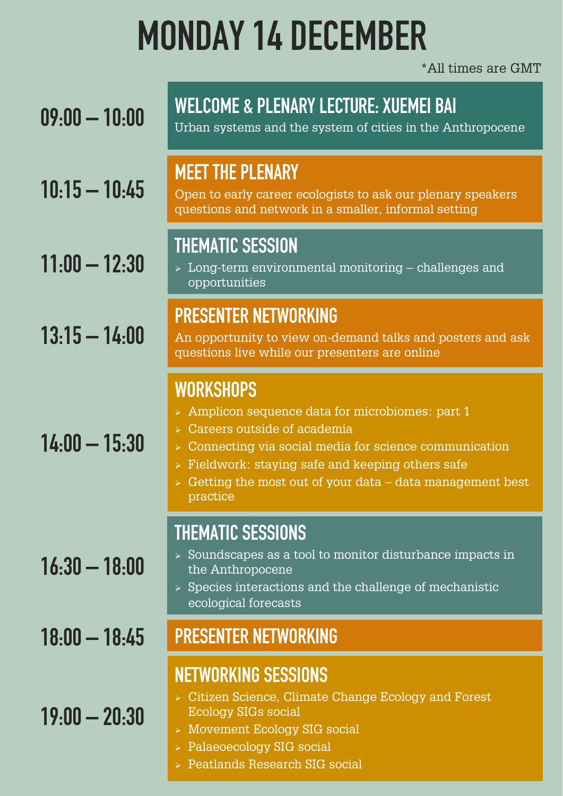### **MONDAY 14 DECEMBER**

\*All times are GMT

| $09:00 - 10:00$ | <b>WELCOME &amp; PLENARY LECTURE: XUEMEI BAI</b><br>Urban systems and the system of cities in the Anthropocene                                                                                                                                                                                                                    |
|-----------------|-----------------------------------------------------------------------------------------------------------------------------------------------------------------------------------------------------------------------------------------------------------------------------------------------------------------------------------|
| $10:15 - 10:45$ | <b>MEET THE PLENARY</b><br>Open to early career ecologists to ask our plenary speakers<br>questions and network in a smaller, informal setting                                                                                                                                                                                    |
| $11:00 - 12:30$ | <b>THEMATIC SESSION</b><br>$\triangleright$ Long-term environmental monitoring – challenges and<br>opportunities                                                                                                                                                                                                                  |
| $13:15 - 14:00$ | <b>PRESENTER NETWORKING</b><br>An opportunity to view on-demand talks and posters and ask<br>questions live while our presenters are online                                                                                                                                                                                       |
| $14:00 - 15:30$ | <b>WORKSHOPS</b><br>> Amplicon sequence data for microbiomes: part 1<br>> Careers outside of academia<br>$\triangleright$ Connecting via social media for science communication<br>$\triangleright$ Fieldwork: staying safe and keeping others safe<br>$\ge$ Getting the most out of your data – data management best<br>practice |
| $16:30 - 18:00$ | <b>THEMATIC SESSIONS</b><br>$\ge$ Soundscapes as a tool to monitor disturbance impacts in<br>the Anthropocene<br>$\triangleright$ Species interactions and the challenge of mechanistic<br>ecological forecasts                                                                                                                   |
| $18:00 - 18:45$ | <b>PRESENTER NETWORKING</b>                                                                                                                                                                                                                                                                                                       |
| $19:00 - 20:30$ | <b>NETWORKING SESSIONS</b><br>> Citizen Science, Climate Change Ecology and Forest<br><b>Ecology SIGs social</b><br>> Movement Ecology SIG social<br>> Palaeoecology SIG social                                                                                                                                                   |

➢ Peatlands Research SIG social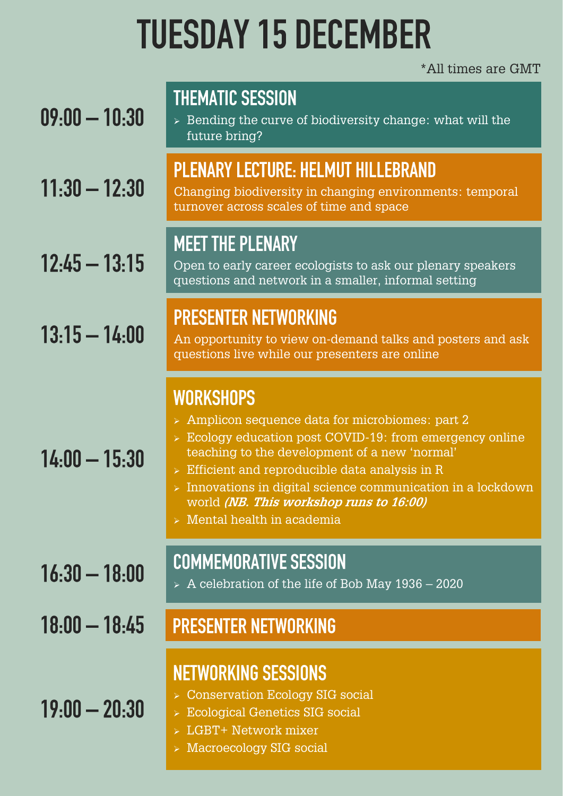# **TUESDAY 15 DECEMBER**

#### \*All times are GMT

| $09:00 - 10:30$ | <b>THEMATIC SESSION</b><br>$\ge$ Bending the curve of biodiversity change: what will the<br>future bring?                                                                                                                                                                                                                                                                                                          |
|-----------------|--------------------------------------------------------------------------------------------------------------------------------------------------------------------------------------------------------------------------------------------------------------------------------------------------------------------------------------------------------------------------------------------------------------------|
| $11:30 - 12:30$ | <b>PLENARY LECTURE: HELMUT HILLEBRAND</b><br>Changing biodiversity in changing environments: temporal<br>turnover across scales of time and space                                                                                                                                                                                                                                                                  |
| $12:45 - 13:15$ | <b>MEET THE PLENARY</b><br>Open to early career ecologists to ask our plenary speakers<br>questions and network in a smaller, informal setting                                                                                                                                                                                                                                                                     |
| $13:15 - 14:00$ | <b>PRESENTER NETWORKING</b><br>An opportunity to view on-demand talks and posters and ask<br>questions live while our presenters are online                                                                                                                                                                                                                                                                        |
| $14:00 - 15:30$ | <b>WORKSHOPS</b><br>> Amplicon sequence data for microbiomes: part 2<br>$\ge$ Ecology education post COVID-19: from emergency online<br>teaching to the development of a new 'normal'<br>$\triangleright$ Efficient and reproducible data analysis in R<br>$>$ Innovations in digital science communication in a lockdown<br>world (NB. This workshop runs to 16:00)<br>$\triangleright$ Mental health in academia |
| $16:30 - 18:00$ | <b>COMMEMORATIVE SESSION</b><br>$> A$ celebration of the life of Bob May 1936 – 2020                                                                                                                                                                                                                                                                                                                               |
| $18:00 - 18:45$ | <b>PRESENTER NETWORKING</b>                                                                                                                                                                                                                                                                                                                                                                                        |
| $19:00 - 20:30$ | <b>NETWORKING SESSIONS</b><br><b>Conservation Ecology SIG social</b><br><b>Ecological Genetics SIG social</b><br>LGBT+ Network mixer<br>Macroecology SIG social                                                                                                                                                                                                                                                    |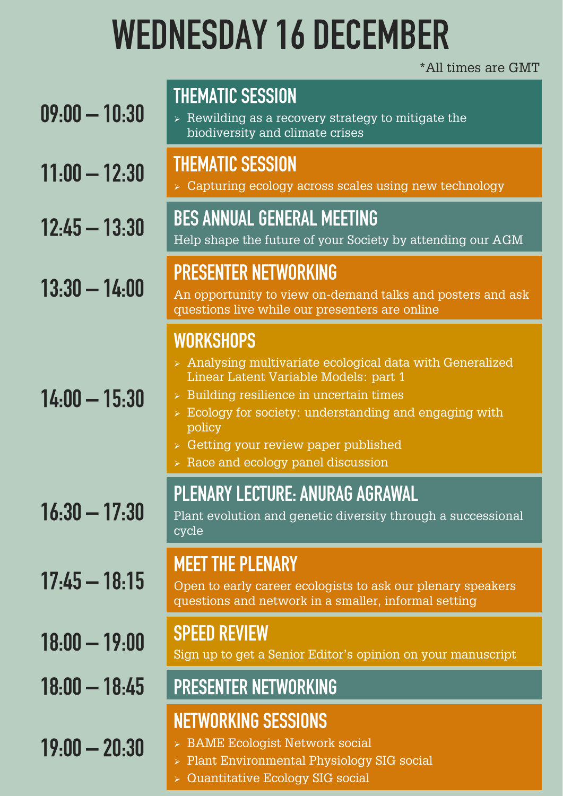# **WEDNESDAY 16 DECEMBER**

#### \*All times are GMT

| $09:00 - 10:30$       | <b>THEMATIC SESSION</b><br>$\ge$ Rewilding as a recovery strategy to mitigate the<br>biodiversity and climate crises                                                                                                                                                                                                                                                |
|-----------------------|---------------------------------------------------------------------------------------------------------------------------------------------------------------------------------------------------------------------------------------------------------------------------------------------------------------------------------------------------------------------|
| $11:00 - 12:30$       | <b>THEMATIC SESSION</b><br>$\triangleright$ Capturing ecology across scales using new technology                                                                                                                                                                                                                                                                    |
| $12:45 - 13:30$       | <b>BES ANNUAL GENERAL MEETING</b><br>Help shape the future of your Society by attending our AGM                                                                                                                                                                                                                                                                     |
| $13:30 - 14:00$       | <b>PRESENTER NETWORKING</b><br>An opportunity to view on-demand talks and posters and ask<br>questions live while our presenters are online                                                                                                                                                                                                                         |
| $14:00 - 15:30$       | <b>WORKSHOPS</b><br>> Analysing multivariate ecological data with Generalized<br>Linear Latent Variable Models: part 1<br>$\triangleright$ Building resilience in uncertain times<br>$\triangleright$ Ecology for society: understanding and engaging with<br>policy<br>> Getting your review paper published<br>$\triangleright$ Race and ecology panel discussion |
| <u> 16:30 — 17:30</u> | <b>PLENARY LECTURE: ANURAG AGRAWAL</b><br>Plant evolution and genetic diversity through a successional<br>cycle                                                                                                                                                                                                                                                     |
| $17:45 - 18:15$       | <b>MEET THE PLENARY</b><br>Open to early career ecologists to ask our plenary speakers<br>questions and network in a smaller, informal setting                                                                                                                                                                                                                      |
| $18:00 - 19:00$       | <b>SPEED REVIEW</b><br>Sign up to get a Senior Editor's opinion on your manuscript                                                                                                                                                                                                                                                                                  |
| $18:00 - 18:45$       | <b>PRESENTER NETWORKING</b>                                                                                                                                                                                                                                                                                                                                         |
| $19:00 - 20:30$       | <b>NETWORKING SESSIONS</b><br>> BAME Ecologist Network social<br>> Plant Environmental Physiology SIG social<br><b>Quantitative Ecology SIG social</b>                                                                                                                                                                                                              |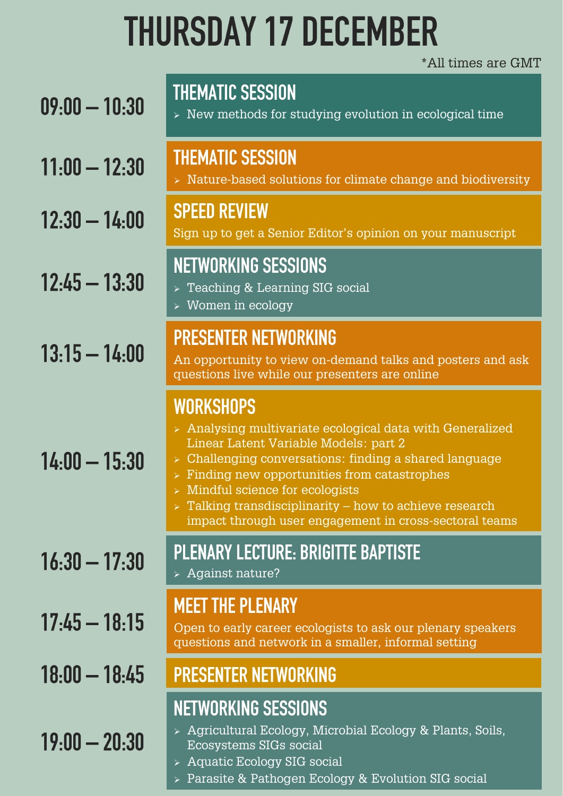# **THURSDAY 17 DECEMBER**

\*All times are GMT

| $09:00 - 10:30$ | <b>THEMATIC SESSION</b><br>$\triangleright$ New methods for studying evolution in ecological time                                                                                                                                                                                                                                                                                                                                             |
|-----------------|-----------------------------------------------------------------------------------------------------------------------------------------------------------------------------------------------------------------------------------------------------------------------------------------------------------------------------------------------------------------------------------------------------------------------------------------------|
| $11:00 - 12:30$ | <b>THEMATIC SESSION</b><br>$\triangleright$ Nature-based solutions for climate change and biodiversity                                                                                                                                                                                                                                                                                                                                        |
| $12:30 - 14:00$ | <b>SPEED REVIEW</b><br>Sign up to get a Senior Editor's opinion on your manuscript                                                                                                                                                                                                                                                                                                                                                            |
| $12:45 - 13:30$ | <b>NETWORKING SESSIONS</b><br>> Teaching & Learning SIG social<br>$\triangleright$ Women in ecology                                                                                                                                                                                                                                                                                                                                           |
| $13:15 - 14:00$ | <b>PRESENTER NETWORKING</b><br>An opportunity to view on-demand talks and posters and ask<br>questions live while our presenters are online                                                                                                                                                                                                                                                                                                   |
| $14:00 - 15:30$ | <b>WORKSHOPS</b><br>$\ge$ Analysing multivariate ecological data with Generalized<br>Linear Latent Variable Models: part 2<br>$\triangleright$ Challenging conversations: finding a shared language<br>$\triangleright$ Finding new opportunities from catastrophes<br>$>$ Mindful science for ecologists<br>$\triangleright$ Talking transdisciplinarity – how to achieve research<br>impact through user engagement in cross-sectoral teams |
| $16:30 - 17:30$ | <b>PLENARY LECTURE: BRIGITTE BAPTISTE</b><br>> Against nature?                                                                                                                                                                                                                                                                                                                                                                                |
| $17:45 - 18:15$ | <b>MEET THE PLENARY</b><br>Open to early career ecologists to ask our plenary speakers<br>questions and network in a smaller, informal setting                                                                                                                                                                                                                                                                                                |
| $18:00 - 18:45$ | <b>PRESENTER NETWORKING</b>                                                                                                                                                                                                                                                                                                                                                                                                                   |
| $19:00 - 20:30$ | <b>NETWORKING SESSIONS</b><br>> Agricultural Ecology, Microbial Ecology & Plants, Soils,<br>Ecosystems SIGs social<br>Aquatic Ecology SIG social                                                                                                                                                                                                                                                                                              |

➢ Parasite & Pathogen Ecology & Evolution SIG social